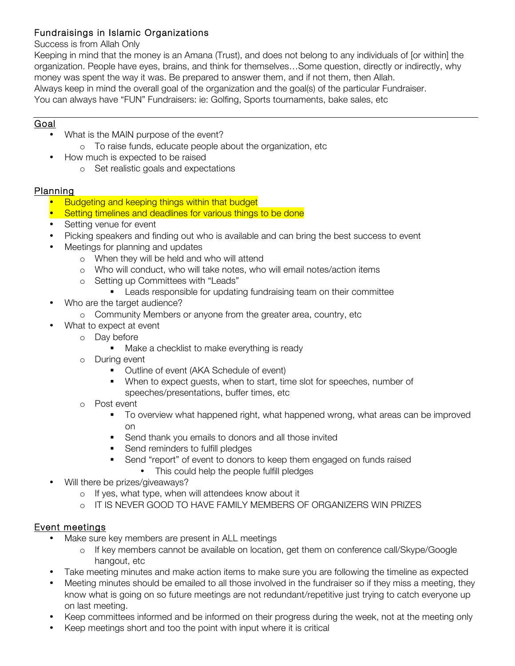## Fundraisings in Islamic Organizations

### Success is from Allah Only

Keeping in mind that the money is an Amana (Trust), and does not belong to any individuals of [or within] the organization. People have eyes, brains, and think for themselves…Some question, directly or indirectly, why money was spent the way it was. Be prepared to answer them, and if not them, then Allah. Always keep in mind the overall goal of the organization and the goal(s) of the particular Fundraiser. You can always have "FUN" Fundraisers: ie: Golfing, Sports tournaments, bake sales, etc

## Goal

- What is the MAIN purpose of the event?
	- o To raise funds, educate people about the organization, etc
- How much is expected to be raised
	- o Set realistic goals and expectations

### Planning

- Budgeting and keeping things within that budget
- **Setting timelines and deadlines for various things to be done**
- Setting venue for event
- Picking speakers and finding out who is available and can bring the best success to event
- Meetings for planning and updates
	- o When they will be held and who will attend
	- o Who will conduct, who will take notes, who will email notes/action items
	- o Setting up Committees with "Leads"
		- Leads responsible for updating fundraising team on their committee
- Who are the target audience?
	- o Community Members or anyone from the greater area, country, etc
- What to expect at event
	- o Day before
		- Make a checklist to make everything is ready
	- o During event
		- Outline of event (AKA Schedule of event)
		- When to expect guests, when to start, time slot for speeches, number of speeches/presentations, buffer times, etc
	- o Post event
		- § To overview what happened right, what happened wrong, what areas can be improved on
		- Send thank you emails to donors and all those invited
		- Send reminders to fulfill pledges
		- Send "report" of event to donors to keep them engaged on funds raised
			- This could help the people fulfill pledges
- Will there be prizes/giveaways?
	- o If yes, what type, when will attendees know about it
	- o IT IS NEVER GOOD TO HAVE FAMILY MEMBERS OF ORGANIZERS WIN PRIZES

### Event meetings

- Make sure key members are present in ALL meetings
	- o If key members cannot be available on location, get them on conference call/Skype/Google hangout, etc
- Take meeting minutes and make action items to make sure you are following the timeline as expected
- Meeting minutes should be emailed to all those involved in the fundraiser so if they miss a meeting, they know what is going on so future meetings are not redundant/repetitive just trying to catch everyone up on last meeting.
- Keep committees informed and be informed on their progress during the week, not at the meeting only
- Keep meetings short and too the point with input where it is critical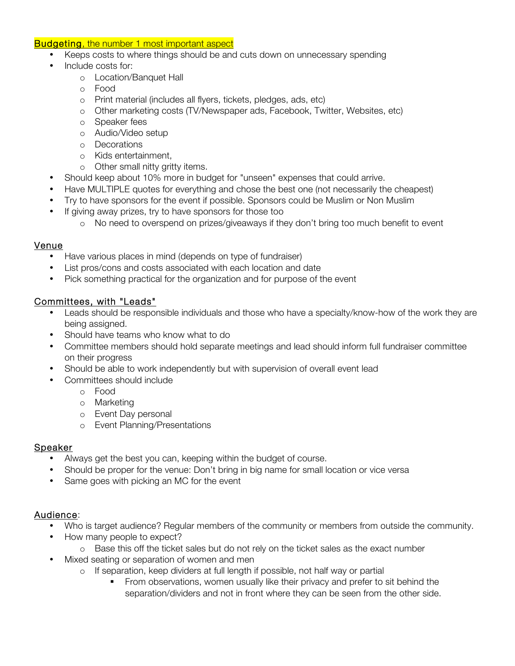#### **Budgeting, the number 1 most important aspect**

- Keeps costs to where things should be and cuts down on unnecessary spending
- Include costs for:
	- o Location/Banquet Hall
	- o Food
	- o Print material (includes all flyers, tickets, pledges, ads, etc)
	- o Other marketing costs (TV/Newspaper ads, Facebook, Twitter, Websites, etc)
	- o Speaker fees
	- o Audio/Video setup
	- o Decorations
	- o Kids entertainment,
	- o Other small nitty gritty items.
- Should keep about 10% more in budget for "unseen" expenses that could arrive.
- Have MULTIPLE quotes for everything and chose the best one (not necessarily the cheapest)
- Try to have sponsors for the event if possible. Sponsors could be Muslim or Non Muslim
- If giving away prizes, try to have sponsors for those too
	- o No need to overspend on prizes/giveaways if they don't bring too much benefit to event

#### Venue

- Have various places in mind (depends on type of fundraiser)
- List pros/cons and costs associated with each location and date
- Pick something practical for the organization and for purpose of the event

#### Committees, with "Leads"

- Leads should be responsible individuals and those who have a specialty/know-how of the work they are being assigned.
- Should have teams who know what to do
- Committee members should hold separate meetings and lead should inform full fundraiser committee on their progress
- Should be able to work independently but with supervision of overall event lead
- Committees should include
	- o Food
	- o Marketing
	- o Event Day personal
	- o Event Planning/Presentations

#### Speaker

- Always get the best you can, keeping within the budget of course.
- Should be proper for the venue: Don't bring in big name for small location or vice versa
- Same goes with picking an MC for the event

#### Audience:

- Who is target audience? Regular members of the community or members from outside the community.
- How many people to expect?
	- o Base this off the ticket sales but do not rely on the ticket sales as the exact number
- Mixed seating or separation of women and men
	- o If separation, keep dividers at full length if possible, not half way or partial
		- **•** From observations, women usually like their privacy and prefer to sit behind the separation/dividers and not in front where they can be seen from the other side.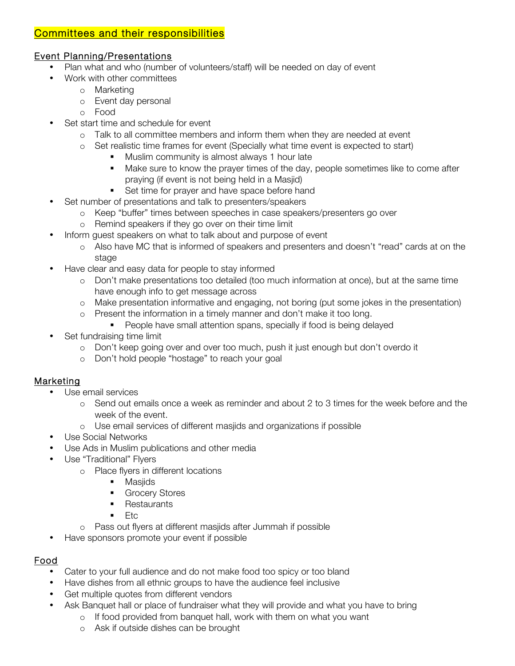## Committees and their responsibilities

### Event Planning/Presentations

- Plan what and who (number of volunteers/staff) will be needed on day of event
- Work with other committees
	- o Marketing
	- o Event day personal
	- o Food
- Set start time and schedule for event
	- o Talk to all committee members and inform them when they are needed at event
	- o Set realistic time frames for event (Specially what time event is expected to start)
		- Muslim community is almost always 1 hour late
		- **Make sure to know the prayer times of the day, people sometimes like to come after** praying (if event is not being held in a Masjid)
		- Set time for prayer and have space before hand
- Set number of presentations and talk to presenters/speakers
	- o Keep "buffer" times between speeches in case speakers/presenters go over
	- o Remind speakers if they go over on their time limit
- Inform guest speakers on what to talk about and purpose of event
	- o Also have MC that is informed of speakers and presenters and doesn't "read" cards at on the stage
- Have clear and easy data for people to stay informed
	- o Don't make presentations too detailed (too much information at once), but at the same time have enough info to get message across
	- o Make presentation informative and engaging, not boring (put some jokes in the presentation)
	- o Present the information in a timely manner and don't make it too long.
		- People have small attention spans, specially if food is being delayed
- Set fundraising time limit
	- o Don't keep going over and over too much, push it just enough but don't overdo it
	- o Don't hold people "hostage" to reach your goal

### Marketing

- Use email services
	- o Send out emails once a week as reminder and about 2 to 3 times for the week before and the week of the event.
	- o Use email services of different masjids and organizations if possible
- Use Social Networks
- Use Ads in Muslim publications and other media
- Use "Traditional" Flyers
	- o Place flyers in different locations
		- Masjids
		- Grocery Stores
		- Restaurants
		- Etc.
	- o Pass out flyers at different masjids after Jummah if possible
- Have sponsors promote your event if possible

# Food

- Cater to your full audience and do not make food too spicy or too bland
- Have dishes from all ethnic groups to have the audience feel inclusive
- Get multiple quotes from different vendors
- Ask Banquet hall or place of fundraiser what they will provide and what you have to bring
	- o If food provided from banquet hall, work with them on what you want
	- o Ask if outside dishes can be brought